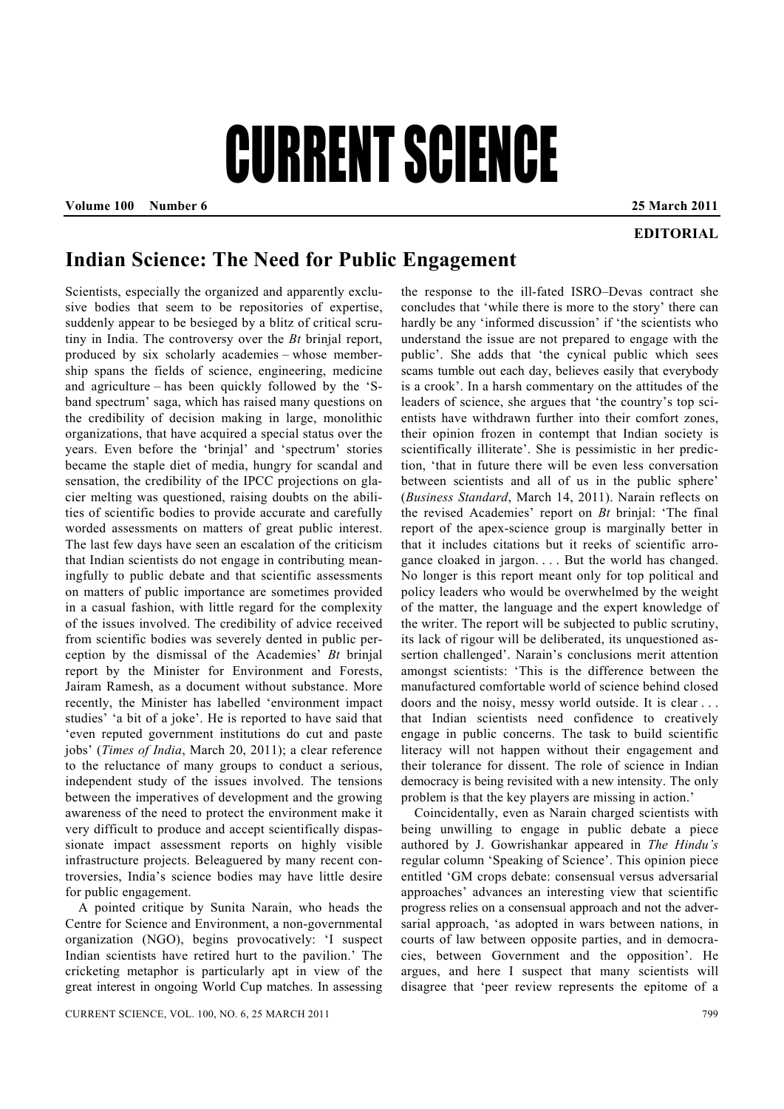## CURRENT SCIENCE

**Volume 100 Number 6 25 March 2011** 

## **EDITORIAL**

## **Indian Science: The Need for Public Engagement**

Scientists, especially the organized and apparently exclusive bodies that seem to be repositories of expertise, suddenly appear to be besieged by a blitz of critical scrutiny in India. The controversy over the *Bt* brinjal report, produced by six scholarly academies – whose membership spans the fields of science, engineering, medicine and agriculture – has been quickly followed by the 'Sband spectrum' saga, which has raised many questions on the credibility of decision making in large, monolithic organizations, that have acquired a special status over the years. Even before the 'brinjal' and 'spectrum' stories became the staple diet of media, hungry for scandal and sensation, the credibility of the IPCC projections on glacier melting was questioned, raising doubts on the abilities of scientific bodies to provide accurate and carefully worded assessments on matters of great public interest. The last few days have seen an escalation of the criticism that Indian scientists do not engage in contributing meaningfully to public debate and that scientific assessments on matters of public importance are sometimes provided in a casual fashion, with little regard for the complexity of the issues involved. The credibility of advice received from scientific bodies was severely dented in public perception by the dismissal of the Academies' *Bt* brinjal report by the Minister for Environment and Forests, Jairam Ramesh, as a document without substance. More recently, the Minister has labelled 'environment impact studies' 'a bit of a joke'. He is reported to have said that 'even reputed government institutions do cut and paste jobs' (*Times of India*, March 20, 2011); a clear reference to the reluctance of many groups to conduct a serious, independent study of the issues involved. The tensions between the imperatives of development and the growing awareness of the need to protect the environment make it very difficult to produce and accept scientifically dispassionate impact assessment reports on highly visible infrastructure projects. Beleaguered by many recent controversies, India's science bodies may have little desire for public engagement.

 A pointed critique by Sunita Narain, who heads the Centre for Science and Environment, a non-governmental organization (NGO), begins provocatively: 'I suspect Indian scientists have retired hurt to the pavilion.' The cricketing metaphor is particularly apt in view of the great interest in ongoing World Cup matches. In assessing

the response to the ill-fated ISRO–Devas contract she concludes that 'while there is more to the story' there can hardly be any 'informed discussion' if 'the scientists who understand the issue are not prepared to engage with the public'. She adds that 'the cynical public which sees scams tumble out each day, believes easily that everybody is a crook'. In a harsh commentary on the attitudes of the leaders of science, she argues that 'the country's top scientists have withdrawn further into their comfort zones, their opinion frozen in contempt that Indian society is scientifically illiterate'. She is pessimistic in her prediction, 'that in future there will be even less conversation between scientists and all of us in the public sphere' (*Business Standard*, March 14, 2011). Narain reflects on the revised Academies' report on *Bt* brinjal: 'The final report of the apex-science group is marginally better in that it includes citations but it reeks of scientific arrogance cloaked in jargon. . . . But the world has changed. No longer is this report meant only for top political and policy leaders who would be overwhelmed by the weight of the matter, the language and the expert knowledge of the writer. The report will be subjected to public scrutiny, its lack of rigour will be deliberated, its unquestioned assertion challenged'. Narain's conclusions merit attention amongst scientists: 'This is the difference between the manufactured comfortable world of science behind closed doors and the noisy, messy world outside. It is clear . . . that Indian scientists need confidence to creatively engage in public concerns. The task to build scientific literacy will not happen without their engagement and their tolerance for dissent. The role of science in Indian democracy is being revisited with a new intensity. The only problem is that the key players are missing in action.'

 Coincidentally, even as Narain charged scientists with being unwilling to engage in public debate a piece authored by J. Gowrishankar appeared in *The Hindu's* regular column 'Speaking of Science'. This opinion piece entitled 'GM crops debate: consensual versus adversarial approaches' advances an interesting view that scientific progress relies on a consensual approach and not the adversarial approach, 'as adopted in wars between nations, in courts of law between opposite parties, and in democracies, between Government and the opposition'. He argues, and here I suspect that many scientists will disagree that 'peer review represents the epitome of a